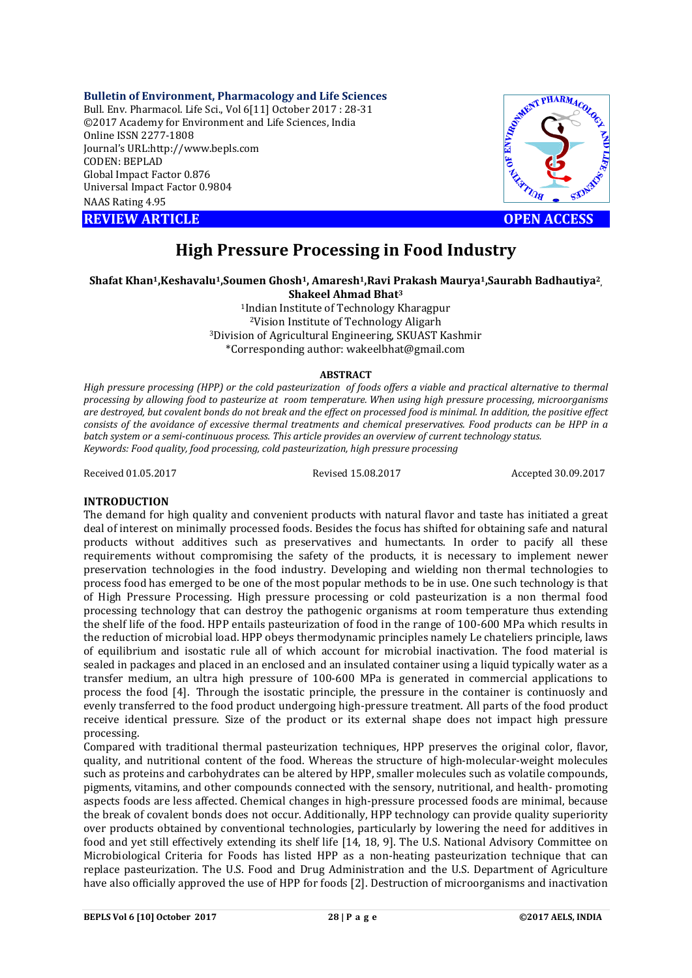**Bulletin of Environment, Pharmacology and Life Sciences**

Bull. Env. Pharmacol. Life Sci., Vol 6[11] October 2017 : 28-31 ©2017 Academy for Environment and Life Sciences, India Online ISSN 2277-1808 Journal's URL:http://www.bepls.com CODEN: BEPLAD Global Impact Factor 0.876 Universal Impact Factor 0.9804 NAAS Rating 4.95 COLUMBER 1995<br>
New York Contains 1997-1808<br>
Journal's URL:http://www.bepls.com<br>
CODEN: BEPLAD<br>
Clobal Impact Factor 0.876<br>
Universal Impact Factor 0.9804<br>
NAAS Rating 4.95<br>
REVIEW ARTICLE<br>
COPEN ACCESS



# **High Pressure Processing in Food Industry**

# **Shafat Khan1,Keshavalu1,Soumen Ghosh1, Amaresh1,Ravi Prakash Maurya1,Saurabh Badhautiya2,**

**Shakeel Ahmad Bhat3**

1Indian Institute of Technology Kharagpur 2Vision Institute of Technology Aligarh 3Division of Agricultural Engineering, SKUAST Kashmir \*Corresponding author: wakeelbhat@gmail.com

## **ABSTRACT**

*High pressure processing (HPP) or the cold pasteurization of foods offers a viable and practical alternative to thermal processing by allowing food to pasteurize at room temperature. When using high pressure processing, microorganisms are destroyed, but covalent bonds do not break and the effect on processed food is minimal. In addition, the positive effect consists of the avoidance of excessive thermal treatments and chemical preservatives. Food products can be HPP in a batch system or a semi-continuous process. This article provides an overview of current technology status. Keywords: Food quality, food processing, cold pasteurization, high pressure processing*

Received 01.05.2017 Revised 15.08.2017 Accepted 30.09.2017

# **INTRODUCTION**

The demand for high quality and convenient products with natural flavor and taste has initiated a great deal of interest on minimally processed foods. Besides the focus has shifted for obtaining safe and natural products without additives such as preservatives and humectants. In order to pacify all these requirements without compromising the safety of the products, it is necessary to implement newer preservation technologies in the food industry. Developing and wielding non thermal technologies to process food has emerged to be one of the most popular methods to be in use. One such technology is that of High Pressure Processing. High pressure processing or cold pasteurization is a non thermal food processing technology that can destroy the pathogenic organisms at room temperature thus extending the shelf life of the food. HPP entails pasteurization of food in the range of 100-600 MPa which results in the reduction of microbial load. HPP obeys thermodynamic principles namely Le chateliers principle, laws of equilibrium and isostatic rule all of which account for microbial inactivation. The food material is sealed in packages and placed in an enclosed and an insulated container using a liquid typically water as a transfer medium, an ultra high pressure of 100-600 MPa is generated in commercial applications to process the food [4]. Through the isostatic principle, the pressure in the container is continuosly and evenly transferred to the food product undergoing high-pressure treatment. All parts of the food product receive identical pressure. Size of the product or its external shape does not impact high pressure processing.

Compared with traditional thermal pasteurization techniques, HPP preserves the original color, flavor, quality, and nutritional content of the food. Whereas the structure of high-molecular-weight molecules such as proteins and carbohydrates can be altered by HPP, smaller molecules such as volatile compounds, pigments, vitamins, and other compounds connected with the sensory, nutritional, and health- promoting aspects foods are less affected. Chemical changes in high-pressure processed foods are minimal, because the break of covalent bonds does not occur. Additionally, HPP technology can provide quality superiority over products obtained by conventional technologies, particularly by lowering the need for additives in food and yet still effectively extending its shelf life [14, 18, 9]. The U.S. National Advisory Committee on Microbiological Criteria for Foods has listed HPP as a non-heating pasteurization technique that can replace pasteurization. The U.S. Food and Drug Administration and the U.S. Department of Agriculture have also officially approved the use of HPP for foods [2]. Destruction of microorganisms and inactivation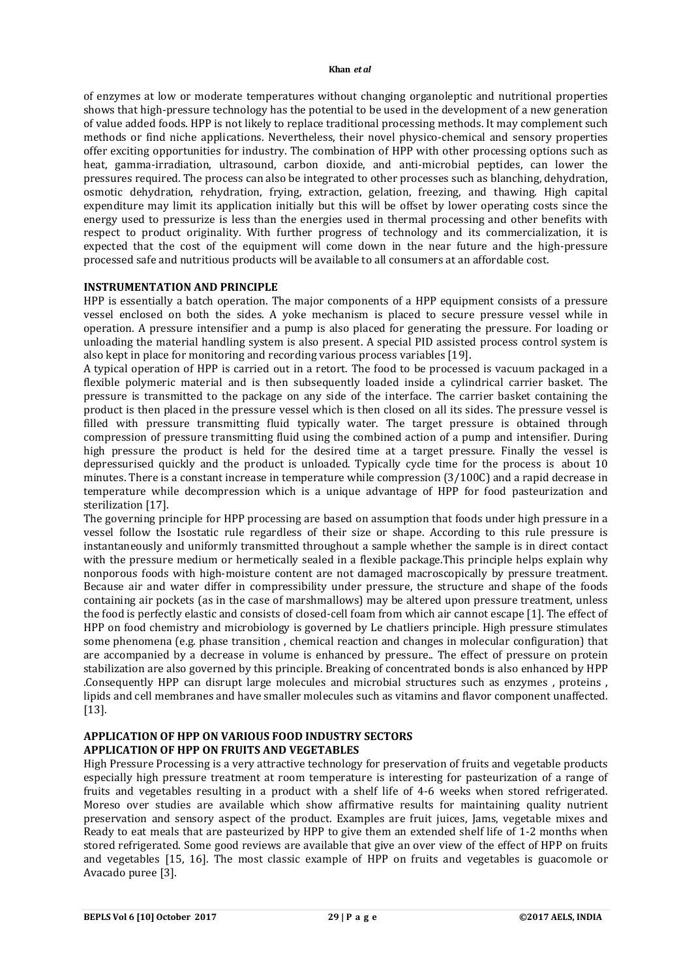#### **Khan** *et al*

of enzymes at low or moderate temperatures without changing organoleptic and nutritional properties shows that high-pressure technology has the potential to be used in the development of a new generation of value added foods. HPP is not likely to replace traditional processing methods. It may complement such methods or find niche applications. Nevertheless, their novel physico-chemical and sensory properties offer exciting opportunities for industry. The combination of HPP with other processing options such as heat, gamma-irradiation, ultrasound, carbon dioxide, and anti-microbial peptides, can lower the pressures required. The process can also be integrated to other processes such as blanching, dehydration, osmotic dehydration, rehydration, frying, extraction, gelation, freezing, and thawing. High capital expenditure may limit its application initially but this will be offset by lower operating costs since the energy used to pressurize is less than the energies used in thermal processing and other benefits with respect to product originality. With further progress of technology and its commercialization, it is expected that the cost of the equipment will come down in the near future and the high-pressure processed safe and nutritious products will be available to all consumers at an affordable cost.

## **INSTRUMENTATION AND PRINCIPLE**

HPP is essentially a batch operation. The major components of a HPP equipment consists of a pressure vessel enclosed on both the sides. A yoke mechanism is placed to secure pressure vessel while in operation. A pressure intensifier and a pump is also placed for generating the pressure. For loading or unloading the material handling system is also present. A special PID assisted process control system is also kept in place for monitoring and recording various process variables [19].

A typical operation of HPP is carried out in a retort. The food to be processed is vacuum packaged in a flexible polymeric material and is then subsequently loaded inside a cylindrical carrier basket. The pressure is transmitted to the package on any side of the interface. The carrier basket containing the product is then placed in the pressure vessel which is then closed on all its sides. The pressure vessel is filled with pressure transmitting fluid typically water. The target pressure is obtained through compression of pressure transmitting fluid using the combined action of a pump and intensifier. During high pressure the product is held for the desired time at a target pressure. Finally the vessel is depressurised quickly and the product is unloaded. Typically cycle time for the process is about 10 minutes. There is a constant increase in temperature while compression (3/100C) and a rapid decrease in temperature while decompression which is a unique advantage of HPP for food pasteurization and sterilization [17].

The governing principle for HPP processing are based on assumption that foods under high pressure in a vessel follow the Isostatic rule regardless of their size or shape. According to this rule pressure is instantaneously and uniformly transmitted throughout a sample whether the sample is in direct contact with the pressure medium or hermetically sealed in a flexible package.This principle helps explain why nonporous foods with high-moisture content are not damaged macroscopically by pressure treatment. Because air and water differ in compressibility under pressure, the structure and shape of the foods containing air pockets (as in the case of marshmallows) may be altered upon pressure treatment, unless the food is perfectly elastic and consists of closed-cell foam from which air cannot escape [1]. The effect of HPP on food chemistry and microbiology is governed by Le chatliers principle. High pressure stimulates some phenomena (e.g. phase transition , chemical reaction and changes in molecular configuration) that are accompanied by a decrease in volume is enhanced by pressure.. The effect of pressure on protein stabilization are also governed by this principle. Breaking of concentrated bonds is also enhanced by HPP .Consequently HPP can disrupt large molecules and microbial structures such as enzymes , proteins , lipids and cell membranes and have smaller molecules such as vitamins and flavor component unaffected. [13].

# **APPLICATION OF HPP ON VARIOUS FOOD INDUSTRY SECTORS APPLICATION OF HPP ON FRUITS AND VEGETABLES**

High Pressure Processing is a very attractive technology for preservation of fruits and vegetable products especially high pressure treatment at room temperature is interesting for pasteurization of a range of fruits and vegetables resulting in a product with a shelf life of 4-6 weeks when stored refrigerated. Moreso over studies are available which show affirmative results for maintaining quality nutrient preservation and sensory aspect of the product. Examples are fruit juices, Jams, vegetable mixes and Ready to eat meals that are pasteurized by HPP to give them an extended shelf life of 1-2 months when stored refrigerated. Some good reviews are available that give an over view of the effect of HPP on fruits and vegetables [15, 16]. The most classic example of HPP on fruits and vegetables is guacomole or Avacado puree [3].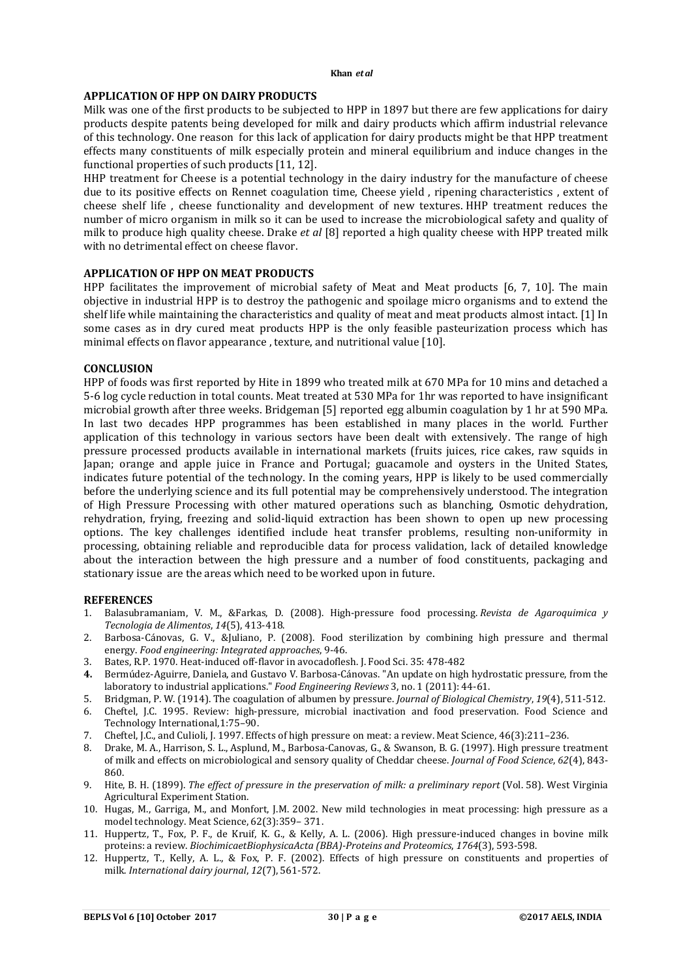#### **Khan** *et al*

# **APPLICATION OF HPP ON DAIRY PRODUCTS**

Milk was one of the first products to be subjected to HPP in 1897 but there are few applications for dairy products despite patents being developed for milk and dairy products which affirm industrial relevance of this technology. One reason for this lack of application for dairy products might be that HPP treatment effects many constituents of milk especially protein and mineral equilibrium and induce changes in the functional properties of such products [11, 12].

HHP treatment for Cheese is a potential technology in the dairy industry for the manufacture of cheese due to its positive effects on Rennet coagulation time, Cheese yield , ripening characteristics , extent of cheese shelf life , cheese functionality and development of new textures. HHP treatment reduces the number of micro organism in milk so it can be used to increase the microbiological safety and quality of milk to produce high quality cheese. Drake *et al* [8] reported a high quality cheese with HPP treated milk with no detrimental effect on cheese flavor.

## **APPLICATION OF HPP ON MEAT PRODUCTS**

HPP facilitates the improvement of microbial safety of Meat and Meat products [6, 7, 10]. The main objective in industrial HPP is to destroy the pathogenic and spoilage micro organisms and to extend the shelf life while maintaining the characteristics and quality of meat and meat products almost intact. [1] In some cases as in dry cured meat products HPP is the only feasible pasteurization process which has minimal effects on flavor appearance , texture, and nutritional value [10].

## **CONCLUSION**

HPP of foods was first reported by Hite in 1899 who treated milk at 670 MPa for 10 mins and detached a 5-6 log cycle reduction in total counts. Meat treated at 530 MPa for 1hr was reported to have insignificant microbial growth after three weeks. Bridgeman [5] reported egg albumin coagulation by 1 hr at 590 MPa. In last two decades HPP programmes has been established in many places in the world. Further application of this technology in various sectors have been dealt with extensively. The range of high pressure processed products available in international markets (fruits juices, rice cakes, raw squids in Japan; orange and apple juice in France and Portugal; guacamole and oysters in the United States, indicates future potential of the technology. In the coming years, HPP is likely to be used commercially before the underlying science and its full potential may be comprehensively understood. The integration of High Pressure Processing with other matured operations such as blanching, Osmotic dehydration, rehydration, frying, freezing and solid-liquid extraction has been shown to open up new processing options. The key challenges identified include heat transfer problems, resulting non-uniformity in processing, obtaining reliable and reproducible data for process validation, lack of detailed knowledge about the interaction between the high pressure and a number of food constituents, packaging and stationary issue are the areas which need to be worked upon in future.

## **REFERENCES**

- 1. Balasubramaniam, V. M., &Farkas, D. (2008). High-pressure food processing. *Revista de Agaroquimica y Tecnologia de Alimentos*, *14*(5), 413-418.
- 2. Barbosa-Cánovas, G. V., &Juliano, P. (2008). Food sterilization by combining high pressure and thermal energy. *Food engineering: Integrated approaches*, 9-46.
- 3. Bates, R.P. 1970. Heat-induced off-flavor in avocadoflesh. J. Food Sci. 35: 478-482
- **4.** Bermúdez-Aguirre, Daniela, and Gustavo V. Barbosa-Cánovas. "An update on high hydrostatic pressure, from the laboratory to industrial applications." *Food Engineering Reviews* 3, no. 1 (2011): 44-61.
- 5. Bridgman, P. W. (1914). The coagulation of albumen by pressure. *Journal of Biological Chemistry*, *19*(4), 511-512.
- 6. Cheftel, J.C. 1995. Review: high-pressure, microbial inactivation and food preservation. Food Science and Technology International,1:75–90.
- 7. Cheftel, J.C., and Culioli, J. 1997. Effects of high pressure on meat: a review. Meat Science, 46(3):211–236.
- 8. Drake, M. A., Harrison, S. L., Asplund, M., Barbosa-Canovas, G., & Swanson, B. G. (1997). High pressure treatment of milk and effects on microbiological and sensory quality of Cheddar cheese. *Journal of Food Science*, *62*(4), 843- 860.
- 9. Hite, B. H. (1899). *The effect of pressure in the preservation of milk: a preliminary report* (Vol. 58). West Virginia Agricultural Experiment Station.
- 10. Hugas, M., Garriga, M., and Monfort, J.M. 2002. New mild technologies in meat processing: high pressure as a model technology. Meat Science, 62(3):359– 371.
- 11. Huppertz, T., Fox, P. F., de Kruif, K. G., & Kelly, A. L. (2006). High pressure-induced changes in bovine milk proteins: a review. *BiochimicaetBiophysicaActa (BBA)-Proteins and Proteomics*, *1764*(3), 593-598.
- 12. Huppertz, T., Kelly, A. L., & Fox, P. F. (2002). Effects of high pressure on constituents and properties of milk. *International dairy journal*, *12*(7), 561-572.